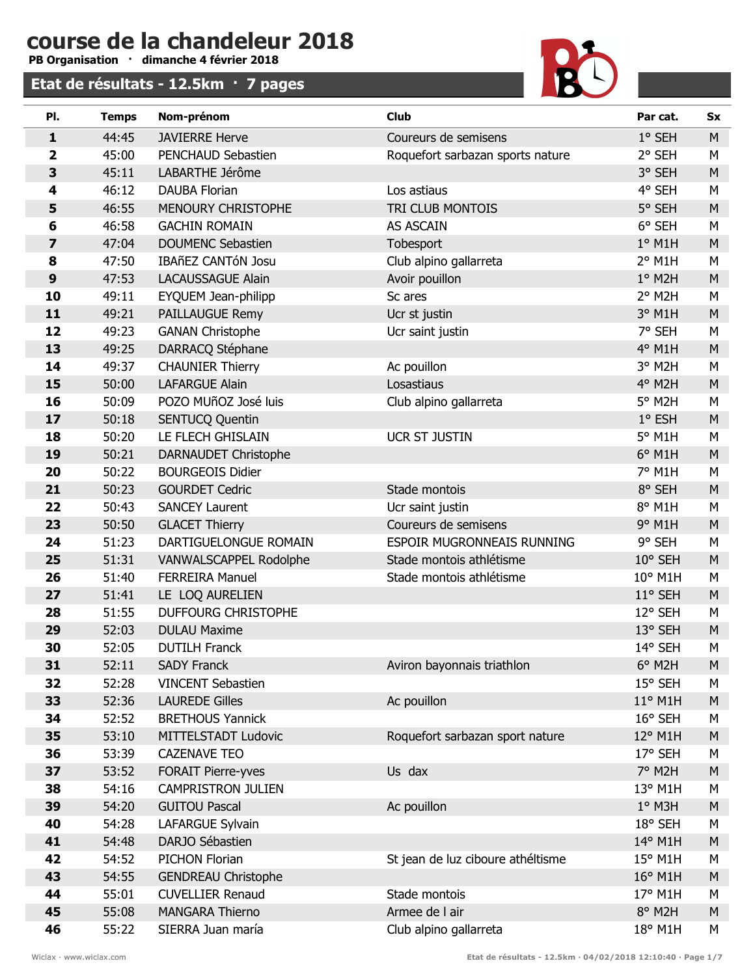PB Organisation · dimanche 4 février 2018



| PI.                     | <b>Temps</b>   | Nom-prénom                                       | <b>Club</b>                       | Par cat.          | Sx     |
|-------------------------|----------------|--------------------------------------------------|-----------------------------------|-------------------|--------|
| $\mathbf{1}$            | 44:45          | <b>JAVIERRE Herve</b>                            | Coureurs de semisens              | 1° SEH            | M      |
| 2                       | 45:00          | PENCHAUD Sebastien                               | Roquefort sarbazan sports nature  | 2° SEH            | M      |
| 3                       | 45:11          | LABARTHE Jérôme                                  |                                   | 3° SEH            | M      |
| 4                       | 46:12          | <b>DAUBA Florian</b>                             | Los astiaus                       | 4° SEH            | M      |
| 5                       | 46:55          | MENOURY CHRISTOPHE                               | TRI CLUB MONTOIS                  | 5° SEH            | M      |
| 6                       | 46:58          | <b>GACHIN ROMAIN</b>                             | AS ASCAIN                         | 6° SEH            | М      |
| $\overline{\mathbf{z}}$ | 47:04          | <b>DOUMENC Sebastien</b>                         | Tobesport                         | $1°$ M1H          | M      |
| 8                       | 47:50          | <b>IBAñEZ CANTÓN Josu</b>                        | Club alpino gallarreta            | $2°$ M1H          | M      |
| 9                       | 47:53          | <b>LACAUSSAGUE Alain</b>                         | Avoir pouillon                    | 1° M2H            | M      |
| 10                      | 49:11          | EYQUEM Jean-philipp                              | Sc ares                           | 2° M2H            | M      |
| 11                      | 49:21          | PAILLAUGUE Remy                                  | Ucr st justin                     | 3° M1H            | M      |
| 12                      | 49:23          | <b>GANAN Christophe</b>                          | Ucr saint justin                  | 7° SEH            | M      |
| 13                      | 49:25          | DARRACQ Stéphane                                 |                                   | 4° M1H            | M      |
| 14                      | 49:37          | <b>CHAUNIER Thierry</b>                          | Ac pouillon                       | 3° M2H            | М      |
| 15                      | 50:00          | <b>LAFARGUE Alain</b>                            | Losastiaus                        | 4° M2H            | M      |
| 16                      | 50:09          | POZO MUñOZ José luis                             | Club alpino gallarreta            | 5° M2H            | M      |
| 17                      | 50:18          | SENTUCQ Quentin                                  |                                   | 1° ESH            | M      |
| 18                      | 50:20          | LE FLECH GHISLAIN                                | <b>UCR ST JUSTIN</b>              | $5^\circ$ M1H     | M      |
| 19                      | 50:21          | <b>DARNAUDET Christophe</b>                      |                                   | $6°$ M1H          | M      |
| 20                      | 50:22          | <b>BOURGEOIS Didier</b>                          |                                   | 7° M1H            | M      |
| 21                      | 50:23          | <b>GOURDET Cedric</b>                            | Stade montois                     | 8° SEH            | M      |
| 22                      | 50:43          | <b>SANCEY Laurent</b>                            | Ucr saint justin                  | 8° M1H            | M      |
| 23                      | 50:50          | <b>GLACET Thierry</b>                            | Coureurs de semisens              | 9° M1H            | M      |
| 24                      | 51:23          | DARTIGUELONGUE ROMAIN                            | ESPOIR MUGRONNEAIS RUNNING        | 9° SEH            | M      |
| 25                      | 51:31          | VANWALSCAPPEL Rodolphe                           | Stade montois athlétisme          | 10° SEH           | M      |
| 26                      | 51:40          | <b>FERREIRA Manuel</b>                           | Stade montois athlétisme          | 10° M1H           | M      |
| 27                      | 51:41          | LE LOQ AURELIEN                                  |                                   | 11° SEH           | M      |
| 28                      | 51:55          | <b>DUFFOURG CHRISTOPHE</b>                       |                                   | 12° SEH           | M      |
| 29                      | 52:03          | <b>DULAU Maxime</b>                              |                                   | 13° SEH           | M      |
| 30                      | 52:05          | <b>DUTILH Franck</b>                             |                                   | 14° SEH           | M      |
| 31                      | 52:11          | <b>SADY Franck</b>                               | Aviron bayonnais triathlon        | 6° M2H            | M      |
| 32                      | 52:28          | <b>VINCENT Sebastien</b>                         |                                   | 15° SEH           | м      |
| 33                      | 52:36          | <b>LAUREDE Gilles</b>                            | Ac pouillon                       | 11° M1H           | M      |
| 34                      | 52:52          | <b>BRETHOUS Yannick</b>                          |                                   | 16° SEH           | М      |
| 35                      | 53:10          | <b>MITTELSTADT Ludovic</b>                       | Roquefort sarbazan sport nature   | 12° M1H           | M      |
| 36<br>37                | 53:39          | <b>CAZENAVE TEO</b><br><b>FORAIT Pierre-yves</b> | Us dax                            | 17° SEH<br>7° M2H | М<br>M |
| 38                      | 53:52<br>54:16 | <b>CAMPRISTRON JULIEN</b>                        |                                   | 13° M1H           | М      |
| 39                      | 54:20          | <b>GUITOU Pascal</b>                             | Ac pouillon                       | $1°$ M3H          | M      |
| 40                      | 54:28          | LAFARGUE Sylvain                                 |                                   | 18° SEH           | М      |
| 41                      | 54:48          | DARJO Sébastien                                  |                                   | 14° M1H           | M      |
| 42                      | 54:52          | PICHON Florian                                   | St jean de luz ciboure athéltisme | 15° M1H           | М      |
| 43                      | 54:55          | <b>GENDREAU Christophe</b>                       |                                   | 16° M1H           | M      |
| 44                      | 55:01          | <b>CUVELLIER Renaud</b>                          | Stade montois                     | 17° M1H           | М      |
| 45                      | 55:08          | <b>MANGARA Thierno</b>                           | Armee de I air                    | 8° M2H            | M      |
| 46                      | 55:22          | SIERRA Juan maría                                | Club alpino gallarreta            | 18° M1H           | М      |
|                         |                |                                                  |                                   |                   |        |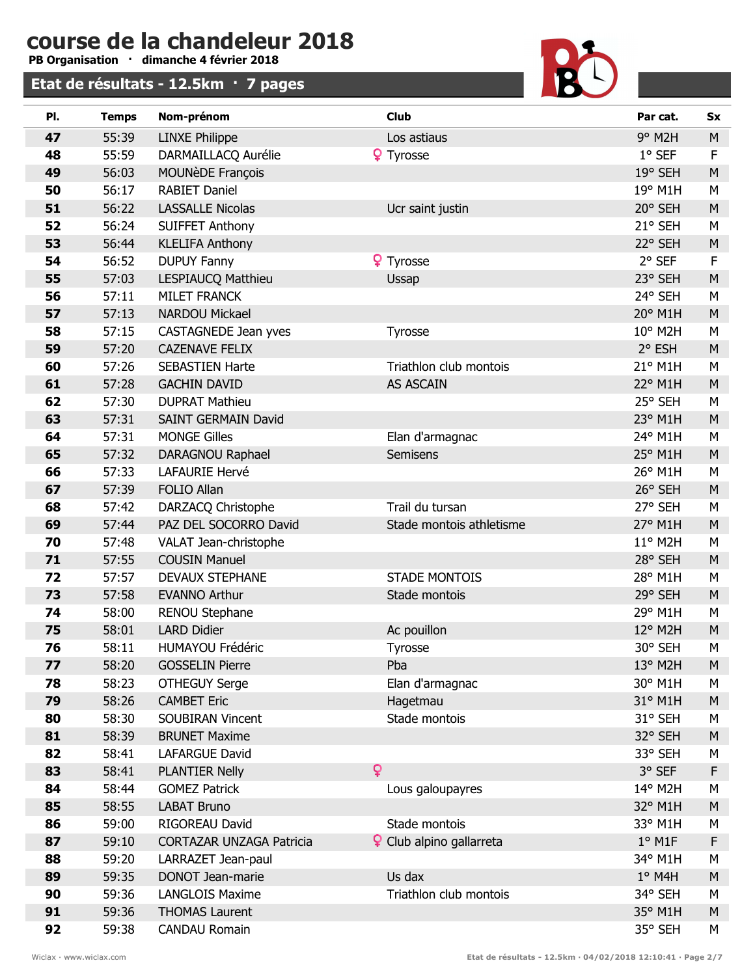PB Organisation · dimanche 4 février 2018



| PI. | <b>Temps</b> | Nom-prénom                  |              | <b>Club</b>                     | Par cat. | Sx        |
|-----|--------------|-----------------------------|--------------|---------------------------------|----------|-----------|
| 47  | 55:39        | <b>LINXE Philippe</b>       |              | Los astiaus                     | $9°$ M2H | M         |
| 48  | 55:59        | DARMAILLACQ Aurélie         |              | <b>?</b> Tyrosse                | $1°$ SEF | F         |
| 49  | 56:03        | <b>MOUNèDE François</b>     |              |                                 | 19° SEH  | ${\sf M}$ |
| 50  | 56:17        | <b>RABIET Daniel</b>        |              |                                 | 19° M1H  | M         |
| 51  | 56:22        | <b>LASSALLE Nicolas</b>     |              | Ucr saint justin                | 20° SEH  | ${\sf M}$ |
| 52  | 56:24        | <b>SUIFFET Anthony</b>      |              |                                 | 21° SEH  | M         |
| 53  | 56:44        | <b>KLELIFA Anthony</b>      |              |                                 | 22° SEH  | ${\sf M}$ |
| 54  | 56:52        | <b>DUPUY Fanny</b>          |              | <b>?</b> Tyrosse                | 2° SEF   | F         |
| 55  | 57:03        | LESPIAUCQ Matthieu          |              | Ussap                           | 23° SEH  | ${\sf M}$ |
| 56  | 57:11        | <b>MILET FRANCK</b>         |              |                                 | 24° SEH  | M         |
| 57  | 57:13        | NARDOU Mickael              |              |                                 | 20° M1H  | M         |
| 58  | 57:15        | <b>CASTAGNEDE Jean yves</b> |              | Tyrosse                         | 10° M2H  | M         |
| 59  | 57:20        | <b>CAZENAVE FELIX</b>       |              |                                 | 2° ESH   | M         |
| 60  | 57:26        | <b>SEBASTIEN Harte</b>      |              | Triathlon club montois          | 21° M1H  | M         |
| 61  | 57:28        | <b>GACHIN DAVID</b>         |              | <b>AS ASCAIN</b>                | 22° M1H  | M         |
| 62  | 57:30        | <b>DUPRAT Mathieu</b>       |              |                                 | 25° SEH  | M         |
| 63  | 57:31        | <b>SAINT GERMAIN David</b>  |              |                                 | 23° M1H  | ${\sf M}$ |
| 64  | 57:31        | <b>MONGE Gilles</b>         |              | Elan d'armagnac                 | 24° M1H  | M         |
| 65  | 57:32        | DARAGNOU Raphael            |              | Semisens                        | 25° M1H  | ${\sf M}$ |
| 66  | 57:33        | LAFAURIE Hervé              |              |                                 | 26° M1H  | M         |
| 67  | 57:39        | <b>FOLIO Allan</b>          |              |                                 | 26° SEH  | ${\sf M}$ |
| 68  | 57:42        | DARZACQ Christophe          |              | Trail du tursan                 | 27° SEH  | M         |
| 69  | 57:44        | PAZ DEL SOCORRO David       |              | Stade montois athletisme        | 27° M1H  | M         |
| 70  | 57:48        | VALAT Jean-christophe       |              |                                 | 11° M2H  | М         |
| 71  | 57:55        | <b>COUSIN Manuel</b>        |              |                                 | 28° SEH  | M         |
| 72  | 57:57        | <b>DEVAUX STEPHANE</b>      |              | <b>STADE MONTOIS</b>            | 28° M1H  | M         |
| 73  | 57:58        | <b>EVANNO Arthur</b>        |              | Stade montois                   | 29° SEH  | M         |
| 74  | 58:00        | <b>RENOU Stephane</b>       |              |                                 | 29° M1H  | M         |
| 75  | 58:01        | <b>LARD Didier</b>          |              | Ac pouillon                     | 12° M2H  | ${\sf M}$ |
| 76  | 58:11        | <b>HUMAYOU Frédéric</b>     |              | <b>Tyrosse</b>                  | 30° SEH  | M         |
| 77  | 58:20        | <b>GOSSELIN Pierre</b>      |              | Pba                             | 13° M2H  | M         |
| 78  | 58:23        | <b>OTHEGUY Serge</b>        |              | Elan d'armagnac                 | 30° M1H  | М         |
| 79  | 58:26        | <b>CAMBET Eric</b>          |              | Hagetmau                        | 31° M1H  | M         |
| 80  | 58:30        | SOUBIRAN Vincent            |              | Stade montois                   | 31° SEH  | M         |
| 81  | 58:39        | <b>BRUNET Maxime</b>        |              |                                 | 32° SEH  | M         |
| 82  | 58:41        | <b>LAFARGUE David</b>       |              |                                 | 33° SEH  | М         |
| 83  | 58:41        | <b>PLANTIER Nelly</b>       | $\mathsf{Q}$ |                                 | 3° SEF   | F         |
| 84  | 58:44        | <b>GOMEZ Patrick</b>        |              | Lous galoupayres                | 14° M2H  | M         |
| 85  | 58:55        | <b>LABAT Bruno</b>          |              |                                 | 32° M1H  | M         |
| 86  | 59:00        | RIGOREAU David              |              | Stade montois                   | 33° M1H  | M         |
| 87  | 59:10        | CORTAZAR UNZAGA Patricia    |              | <b>9</b> Club alpino gallarreta | $1°$ M1F | F         |
| 88  | 59:20        | LARRAZET Jean-paul          |              |                                 | 34° M1H  | M         |
| 89  | 59:35        | DONOT Jean-marie            |              | Us dax                          | $1°$ M4H | M         |
| 90  | 59:36        | <b>LANGLOIS Maxime</b>      |              | Triathlon club montois          | 34° SEH  | М         |
| 91  | 59:36        | <b>THOMAS Laurent</b>       |              |                                 | 35° M1H  | M         |
| 92  | 59:38        | <b>CANDAU Romain</b>        |              |                                 | 35° SEH  | М         |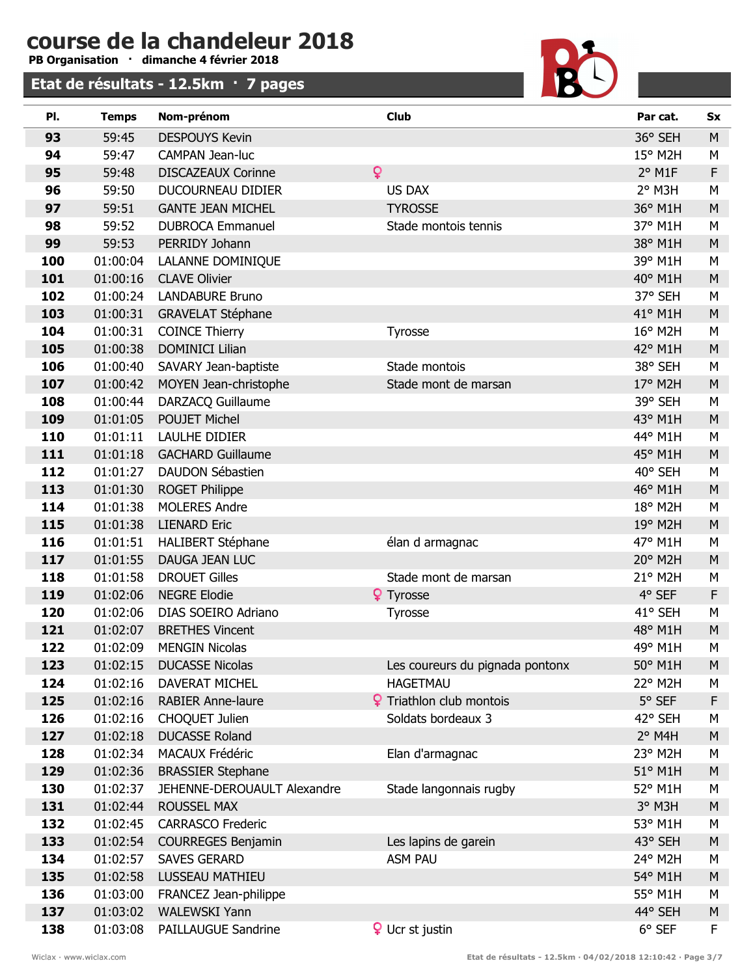PB Organisation · dimanche 4 février 2018



| PI.        | <b>Temps</b>         | Nom-prénom                                              |              | <b>Club</b>                                           | Par cat.          | Sx          |
|------------|----------------------|---------------------------------------------------------|--------------|-------------------------------------------------------|-------------------|-------------|
| 93         | 59:45                | <b>DESPOUYS Kevin</b>                                   |              |                                                       | 36° SEH           | M           |
| 94         | 59:47                | CAMPAN Jean-luc                                         |              |                                                       | 15° M2H           | М           |
| 95         | 59:48                | <b>DISCAZEAUX Corinne</b>                               | $\mathsf{Q}$ |                                                       | $2°$ M1F          | $\mathsf F$ |
| 96         | 59:50                | DUCOURNEAU DIDIER                                       |              | <b>US DAX</b>                                         | 2° M3H            | M           |
| 97         | 59:51                | <b>GANTE JEAN MICHEL</b>                                |              | <b>TYROSSE</b>                                        | 36° M1H           | M           |
| 98         | 59:52                | <b>DUBROCA Emmanuel</b>                                 |              | Stade montois tennis                                  | 37° M1H           | M           |
| 99         | 59:53                | PERRIDY Johann                                          |              |                                                       | 38° M1H           | M           |
| 100        | 01:00:04             | LALANNE DOMINIQUE                                       |              |                                                       | 39° M1H           | M           |
| 101        | 01:00:16             | <b>CLAVE Olivier</b>                                    |              |                                                       | 40° M1H           | ${\sf M}$   |
| 102        | 01:00:24             | <b>LANDABURE Bruno</b>                                  |              |                                                       | 37° SEH           | M           |
| 103        | 01:00:31             | <b>GRAVELAT Stéphane</b>                                |              |                                                       | 41° M1H           | M           |
| 104        | 01:00:31             | <b>COINCE Thierry</b>                                   |              | Tyrosse                                               | 16° M2H           | M           |
| 105        | 01:00:38             | <b>DOMINICI Lilian</b>                                  |              |                                                       | 42° M1H           | M           |
| 106        | 01:00:40             | SAVARY Jean-baptiste                                    |              | Stade montois                                         | 38° SEH           | M           |
| 107        | 01:00:42             | MOYEN Jean-christophe                                   |              | Stade mont de marsan                                  | 17° M2H           | M           |
| 108        | 01:00:44             | DARZACQ Guillaume                                       |              |                                                       | 39° SEH           | M           |
| 109        | 01:01:05             | <b>POUJET Michel</b>                                    |              |                                                       | 43° M1H           | M           |
| 110        | 01:01:11             | LAULHE DIDIER                                           |              |                                                       | 44° M1H           | ${\sf M}$   |
| 111        | 01:01:18             | <b>GACHARD Guillaume</b>                                |              |                                                       | 45° M1H           | M           |
| 112        | 01:01:27             | DAUDON Sébastien                                        |              |                                                       | 40° SEH           | M           |
| 113        | 01:01:30             | <b>ROGET Philippe</b>                                   |              |                                                       | 46° M1H           | M           |
| 114        | 01:01:38             | <b>MOLERES Andre</b>                                    |              |                                                       | 18° M2H           | M           |
| 115        | 01:01:38             | <b>LIENARD Eric</b>                                     |              |                                                       | 19° M2H           | M           |
| 116        | 01:01:51             | <b>HALIBERT Stéphane</b>                                |              | élan d armagnac                                       | 47° M1H           | M           |
| 117        | 01:01:55             | DAUGA JEAN LUC                                          |              |                                                       | 20° M2H           | ${\sf M}$   |
| 118        | 01:01:58             | <b>DROUET Gilles</b>                                    |              | Stade mont de marsan                                  | 21° M2H           | M           |
| 119        | 01:02:06             | <b>NEGRE Elodie</b>                                     |              | ? Tyrosse                                             | 4° SEF            | $\mathsf F$ |
| 120        | 01:02:06             | DIAS SOEIRO Adriano                                     |              | Tyrosse                                               | 41° SEH           | М           |
| 121        | 01:02:07             | <b>BRETHES Vincent</b>                                  |              |                                                       | 48° M1H           | M           |
| 122        | 01:02:09             | <b>MENGIN Nicolas</b>                                   |              |                                                       | 49° M1H           | M           |
| 123        | 01:02:15             | <b>DUCASSE Nicolas</b>                                  |              | Les coureurs du pignada pontonx                       | 50° M1H           | M           |
| 124        | 01:02:16             | <b>DAVERAT MICHEL</b>                                   |              | <b>HAGETMAU</b>                                       | 22° M2H           | М           |
| 125        | 01:02:16             | <b>RABIER Anne-laure</b>                                |              | <b>?</b> Triathlon club montois<br>Soldats bordeaux 3 | 5° SEF            | F<br>M      |
| 126        | 01:02:16             | CHOQUET Julien                                          |              |                                                       | 42° SEH<br>2° M4H |             |
| 127<br>128 | 01:02:18<br>01:02:34 | <b>DUCASSE Roland</b><br><b>MACAUX Frédéric</b>         |              |                                                       | 23° M2H           | M<br>M      |
| 129        | 01:02:36             |                                                         |              | Elan d'armagnac                                       | 51° M1H           | M           |
| 130        | 01:02:37             | <b>BRASSIER Stephane</b><br>JEHENNE-DEROUAULT Alexandre |              | Stade langonnais rugby                                | 52° M1H           | М           |
| 131        | 01:02:44             | ROUSSEL MAX                                             |              |                                                       | $3°$ M3H          | M           |
| 132        | 01:02:45             | <b>CARRASCO Frederic</b>                                |              |                                                       | 53° M1H           | М           |
| 133        | 01:02:54             | <b>COURREGES Benjamin</b>                               |              | Les lapins de garein                                  | 43° SEH           | M           |
| 134        | 01:02:57             | <b>SAVES GERARD</b>                                     |              | <b>ASM PAU</b>                                        | 24° M2H           | M           |
| 135        | 01:02:58             | LUSSEAU MATHIEU                                         |              |                                                       | 54° M1H           | M           |
| 136        | 01:03:00             | FRANCEZ Jean-philippe                                   |              |                                                       | 55° M1H           | М           |
| 137        | 01:03:02             | <b>WALEWSKI Yann</b>                                    |              |                                                       | 44° SEH           | M           |
| 138        | 01:03:08             | PAILLAUGUE Sandrine                                     |              | <b>Q</b> Ucr st justin                                | $6°$ SEF          | F           |
|            |                      |                                                         |              |                                                       |                   |             |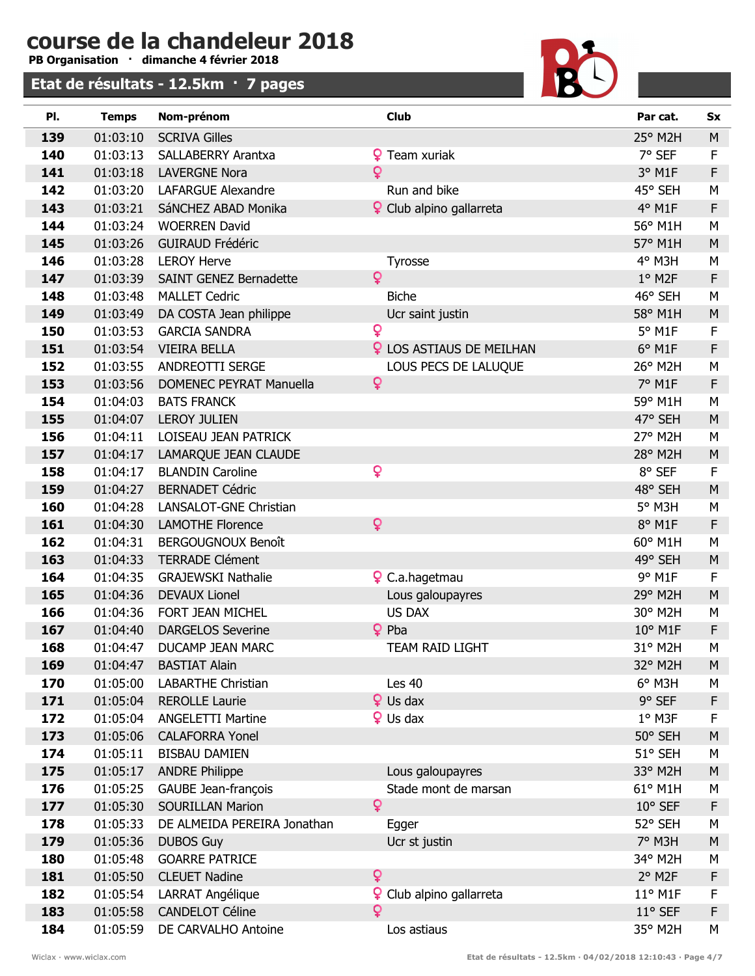PB Organisation · dimanche 4 février 2018



| PI.        | <b>Temps</b>         | Nom-prénom                                    |                | <b>Club</b>                     | Par cat.          | Sx               |
|------------|----------------------|-----------------------------------------------|----------------|---------------------------------|-------------------|------------------|
| 139        | 01:03:10             | <b>SCRIVA Gilles</b>                          |                |                                 | 25° M2H           | M                |
| 140        | 01:03:13             | SALLABERRY Arantxa                            |                | <b>?</b> Team xuriak            | 7° SEF            | F                |
| 141        | 01:03:18             | <b>LAVERGNE Nora</b>                          | $\mathsf{Q}$   |                                 | 3° M1F            | $\mathsf F$      |
| 142        | 01:03:20             | LAFARGUE Alexandre                            |                | Run and bike                    | 45° SEH           | М                |
| 143        | 01:03:21             | SáNCHEZ ABAD Monika                           |                | <b>?</b> Club alpino gallarreta | 4° M1F            | $\mathsf F$      |
| 144        | 01:03:24             | <b>WOERREN David</b>                          |                |                                 | 56° M1H           | M                |
| 145        | 01:03:26             | <b>GUIRAUD Frédéric</b>                       |                |                                 | 57° M1H           | ${\sf M}$        |
| 146        | 01:03:28             | <b>LEROY Herve</b>                            |                | Tyrosse                         | 4° M3H            | M                |
| 147        | 01:03:39             | <b>SAINT GENEZ Bernadette</b>                 | $\mathsf{Q}$   |                                 | $1°$ M2F          | $\mathsf F$      |
| 148        | 01:03:48             | <b>MALLET Cedric</b>                          |                | <b>Biche</b>                    | 46° SEH           | M                |
| 149        | 01:03:49             | DA COSTA Jean philippe                        |                | Ucr saint justin                | 58° M1H           | M                |
| 150        | 01:03:53             | <b>GARCIA SANDRA</b>                          | $\mathbf{Q}$   |                                 | 5° M1F            | $\mathsf F$      |
| 151        | 01:03:54             | <b>VIEIRA BELLA</b>                           |                | <b>Q</b> LOS ASTIAUS DE MEILHAN | $6°$ M1F          | $\mathsf F$      |
| 152        | 01:03:55             | ANDREOTTI SERGE                               |                | LOUS PECS DE LALUQUE            | 26° M2H           | M                |
| 153        | 01:03:56             | <b>DOMENEC PEYRAT Manuella</b>                | $\mathsf{Q}$   |                                 | 7° M1F            | F                |
| 154        | 01:04:03             | <b>BATS FRANCK</b>                            |                |                                 | 59° M1H           | M                |
| 155        | 01:04:07             | <b>LEROY JULIEN</b>                           |                |                                 | 47° SEH           | M                |
| 156        | 01:04:11             | LOISEAU JEAN PATRICK                          |                |                                 | 27° M2H           | M                |
| 157        | 01:04:17             | LAMARQUE JEAN CLAUDE                          |                |                                 | 28° M2H           | M                |
| 158        | 01:04:17             | <b>BLANDIN Caroline</b>                       | $\overline{Q}$ |                                 | 8° SEF            | F                |
| 159        | 01:04:27             | <b>BERNADET Cédric</b>                        |                |                                 | 48° SEH           | M                |
| 160        | 01:04:28             | <b>LANSALOT-GNE Christian</b>                 |                |                                 | 5° M3H            | M                |
| 161        | 01:04:30             | <b>LAMOTHE Florence</b>                       | $\mathsf{Q}$   |                                 | 8° M1F            | $\mathsf F$      |
| 162        | 01:04:31             | <b>BERGOUGNOUX Benoît</b>                     |                |                                 | 60° M1H           | M                |
| 163        | 01:04:33             | <b>TERRADE Clément</b>                        |                |                                 | 49° SEH           | M                |
| 164        | 01:04:35             | <b>GRAJEWSKI Nathalie</b>                     |                | 9 C.a.hagetmau                  | 9° M1F            | $\mathsf F$      |
| 165        | 01:04:36             | <b>DEVAUX Lionel</b>                          |                | Lous galoupayres                | 29° M2H           | M                |
| 166        | 01:04:36             | FORT JEAN MICHEL                              |                | <b>US DAX</b>                   | 30° M2H           | M                |
| 167        | 01:04:40             | <b>DARGELOS Severine</b>                      |                | $Q$ Pba                         | 10° M1F           | F                |
| 168        | 01:04:47             | <b>DUCAMP JEAN MARC</b>                       |                | <b>TEAM RAID LIGHT</b>          | 31° M2H           | M                |
| <b>169</b> | 01:04:47             | <b>BASTIAT Alain</b>                          |                |                                 | 32° M2H           | M                |
| 170        | 01:05:00             | <b>LABARTHE Christian</b>                     |                | Les 40                          | $6°$ M3H          | М                |
| 171        | 01:05:04             | <b>REROLLE Laurie</b>                         |                | $\mathsf{Q}$ Us dax             | 9° SEF            | F                |
| 172        | 01:05:04             | <b>ANGELETTI Martine</b>                      |                | $\mathsf{Q}$ Us dax             | $1°$ M3F          | F                |
| 173        | 01:05:06             | <b>CALAFORRA Yonel</b>                        |                |                                 | 50° SEH           | ${\sf M}$        |
| 174        | 01:05:11             | <b>BISBAU DAMIEN</b>                          |                |                                 | 51° SEH           | M                |
| 175        | 01:05:17             | <b>ANDRE Philippe</b>                         |                | Lous galoupayres                | 33° M2H           | ${\sf M}$        |
| 176        | 01:05:25             | <b>GAUBE Jean-françois</b>                    |                | Stade mont de marsan            | 61° M1H           | М                |
| 177        | 01:05:30             | <b>SOURILLAN Marion</b>                       | $\mathsf{Q}$   |                                 | 10° SEF           | F                |
| 178        | 01:05:33             | DE ALMEIDA PEREIRA Jonathan                   |                | Egger                           | 52° SEH           | М                |
| 179        | 01:05:36             | <b>DUBOS Guy</b>                              |                | Ucr st justin                   | 7° M3H            | ${\sf M}$        |
| 180<br>181 | 01:05:48<br>01:05:50 | <b>GOARRE PATRICE</b><br><b>CLEUET Nadine</b> | $\mathsf{Q}$   |                                 | 34° M2H<br>2° M2F | М<br>$\mathsf F$ |
| 182        | 01:05:54             | LARRAT Angélique                              |                | Club alpino gallarreta          | 11° M1F           | F                |
| 183        | 01:05:58             | <b>CANDELOT Céline</b>                        | Q              |                                 | 11° SEF           | $\mathsf F$      |
| 184        | 01:05:59             | DE CARVALHO Antoine                           |                | Los astiaus                     | 35° M2H           | М                |
|            |                      |                                               |                |                                 |                   |                  |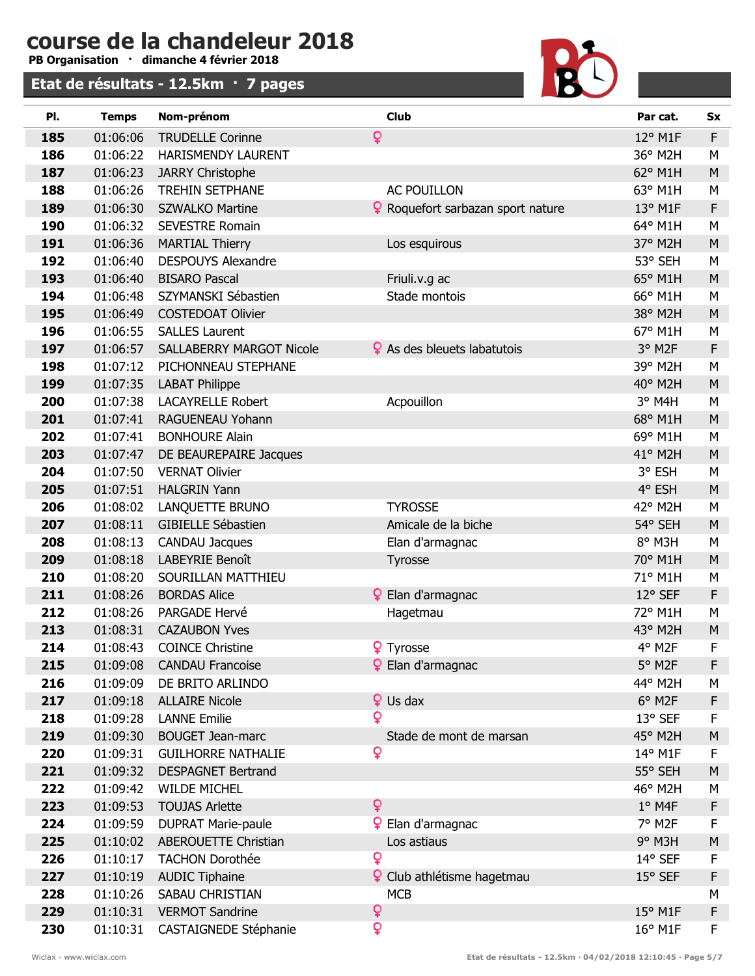PB Organisation · dimanche 4 février 2018



| PI. | <b>Temps</b> | Nom-prénom                      |   | <b>Club</b>                              | Par cat.         | Sx          |
|-----|--------------|---------------------------------|---|------------------------------------------|------------------|-------------|
| 185 | 01:06:06     | <b>TRUDELLE Corinne</b>         | Q |                                          | 12° M1F          | F           |
| 186 | 01:06:22     | HARISMENDY LAURENT              |   |                                          | 36° M2H          | M           |
| 187 | 01:06:23     | <b>JARRY Christophe</b>         |   |                                          | 62° M1H          | M           |
| 188 | 01:06:26     | <b>TREHIN SETPHANE</b>          |   | <b>AC POUILLON</b>                       | 63° M1H          | M           |
| 189 | 01:06:30     | <b>SZWALKO Martine</b>          |   | <b>P</b> Roquefort sarbazan sport nature | 13° M1F          | $\mathsf F$ |
| 190 | 01:06:32     | <b>SEVESTRE Romain</b>          |   |                                          | 64° M1H          | M           |
| 191 | 01:06:36     | <b>MARTIAL Thierry</b>          |   | Los esquirous                            | 37° M2H          | M           |
| 192 | 01:06:40     | <b>DESPOUYS Alexandre</b>       |   |                                          | 53° SEH          | M           |
| 193 | 01:06:40     | <b>BISARO Pascal</b>            |   | Friuli.v.g ac                            | 65° M1H          | M           |
| 194 | 01:06:48     | SZYMANSKI Sébastien             |   | Stade montois                            | 66° M1H          | M           |
| 195 | 01:06:49     | <b>COSTEDOAT Olivier</b>        |   |                                          | 38° M2H          | M           |
| 196 | 01:06:55     | <b>SALLES Laurent</b>           |   |                                          | 67° M1H          | M           |
| 197 | 01:06:57     | <b>SALLABERRY MARGOT Nicole</b> |   | <del>♀</del> As des bleuets labatutois   | 3° M2F           | $\mathsf F$ |
| 198 | 01:07:12     | PICHONNEAU STEPHANE             |   |                                          | 39° M2H          | M           |
| 199 | 01:07:35     | <b>LABAT Philippe</b>           |   |                                          | 40° M2H          | ${\sf M}$   |
| 200 | 01:07:38     | <b>LACAYRELLE Robert</b>        |   | Acpouillon                               | 3° M4H           | M           |
| 201 | 01:07:41     | RAGUENEAU Yohann                |   |                                          | 68° M1H          | ${\sf M}$   |
| 202 | 01:07:41     | <b>BONHOURE Alain</b>           |   |                                          | 69° M1H          | M           |
| 203 | 01:07:47     | DE BEAUREPAIRE Jacques          |   |                                          | 41° M2H          | M           |
| 204 | 01:07:50     | <b>VERNAT Olivier</b>           |   |                                          | 3° ESH           | M           |
| 205 | 01:07:51     | <b>HALGRIN Yann</b>             |   |                                          | 4° ESH           | M           |
| 206 | 01:08:02     | LANQUETTE BRUNO                 |   | <b>TYROSSE</b>                           | 42° M2H          | M           |
| 207 | 01:08:11     | GIBIELLE Sébastien              |   | Amicale de la biche                      | 54° SEH          | M           |
| 208 | 01:08:13     | <b>CANDAU Jacques</b>           |   | Elan d'armagnac                          | 8° M3H           | M           |
| 209 | 01:08:18     | LABEYRIE Benoît                 |   | <b>Tyrosse</b>                           | 70° M1H          | M           |
| 210 | 01:08:20     | SOURILLAN MATTHIEU              |   |                                          | 71° M1H          | M           |
| 211 | 01:08:26     | <b>BORDAS Alice</b>             |   | <b>9</b> Elan d'armagnac                 | 12° SEF          | $\mathsf F$ |
| 212 | 01:08:26     | PARGADE Hervé                   |   | Hagetmau                                 | 72° M1H          | M           |
| 213 | 01:08:31     | <b>CAZAUBON Yves</b>            |   |                                          | 43° M2H          | M           |
| 214 | 01:08:43     | <b>COINCE Christine</b>         |   | <b>?</b> Tyrosse                         | 4° M2F           | $\mathsf F$ |
| 215 | 01:09:08     | <b>CANDAU Francoise</b>         |   | <b>9</b> Elan d'armagnac                 | 5° M2F           | F           |
| 216 | 01:09:09     | DE BRITO ARLINDO                |   |                                          | 44° M2H          | М           |
| 217 | 01:09:18     | <b>ALLAIRE Nicole</b>           |   | $\mathsf{Q}$ Us dax                      | 6° M2F           | F           |
| 218 | 01:09:28     | <b>LANNE Emilie</b>             | Q |                                          | 13° SEF          | $\mathsf F$ |
| 219 | 01:09:30     | <b>BOUGET Jean-marc</b>         |   | Stade de mont de marsan                  | 45° M2H          | ${\sf M}$   |
| 220 | 01:09:31     | <b>GUILHORRE NATHALIE</b>       | Q |                                          | 14° M1F          | $\mathsf F$ |
| 221 | 01:09:32     | <b>DESPAGNET Bertrand</b>       |   |                                          | 55° SEH          | M           |
| 222 | 01:09:42     | <b>WILDE MICHEL</b>             |   |                                          | 46° M2H          | M           |
| 223 | 01:09:53     | <b>TOUJAS Arlette</b>           | Q |                                          | $1°$ M4F         | $\mathsf F$ |
| 224 | 01:09:59     | <b>DUPRAT Marie-paule</b>       |   | <b>9</b> Elan d'armagnac                 | 7° M2F           | F           |
| 225 | 01:10:02     | <b>ABEROUETTE Christian</b>     |   | Los astiaus                              | 9° M3H           | ${\sf M}$   |
| 226 | 01:10:17     | <b>TACHON Dorothée</b>          | Q |                                          | 14° SEF          | F           |
| 227 | 01:10:19     | <b>AUDIC Tiphaine</b>           |   | ♀ Club athlétisme hagetmau               | 15° SEF          | F           |
| 228 | 01:10:26     | SABAU CHRISTIAN                 |   | <b>MCB</b>                               |                  | М           |
| 229 | 01:10:31     | <b>VERMOT Sandrine</b>          | Q |                                          | 15° M1F          | F           |
| 230 | 01:10:31     | <b>CASTAIGNEDE Stéphanie</b>    | ò |                                          | $16^{\circ}$ M1F | F           |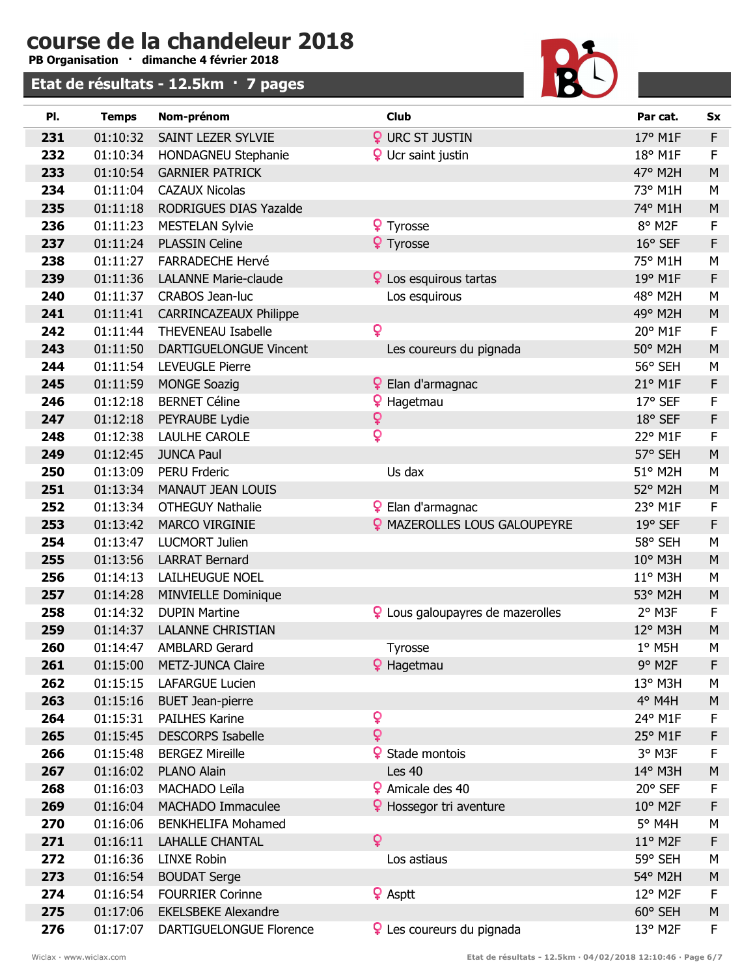PB Organisation · dimanche 4 février 2018



| PI. | <b>Temps</b> | Nom-prénom                    |                | <b>Club</b>                             | Par cat.              | <b>Sx</b> |
|-----|--------------|-------------------------------|----------------|-----------------------------------------|-----------------------|-----------|
| 231 | 01:10:32     | SAINT LEZER SYLVIE            |                | <b>Q</b> URC ST JUSTIN                  | 17° M1F               | F         |
| 232 | 01:10:34     | HONDAGNEU Stephanie           |                | <b>Q</b> Ucr saint justin               | 18° M1F               | F         |
| 233 | 01:10:54     | <b>GARNIER PATRICK</b>        |                |                                         | 47° M2H               | ${\sf M}$ |
| 234 | 01:11:04     | <b>CAZAUX Nicolas</b>         |                |                                         | 73° M1H               | M         |
| 235 | 01:11:18     | RODRIGUES DIAS Yazalde        |                |                                         | 74° M1H               | ${\sf M}$ |
| 236 | 01:11:23     | <b>MESTELAN Sylvie</b>        |                | <b>?</b> Tyrosse                        | 8° M2F                | F         |
| 237 | 01:11:24     | <b>PLASSIN Celine</b>         |                | 9 Tyrosse                               | 16° SEF               | F         |
| 238 | 01:11:27     | <b>FARRADECHE Hervé</b>       |                |                                         | 75° M1H               | M         |
| 239 | 01:11:36     | <b>LALANNE Marie-claude</b>   |                | <b>?</b> Los esquirous tartas           | 19° M1F               | F         |
| 240 | 01:11:37     | <b>CRABOS Jean-luc</b>        |                | Los esquirous                           | 48° M2H               | M         |
| 241 | 01:11:41     | <b>CARRINCAZEAUX Philippe</b> |                |                                         | 49° M2H               | M         |
| 242 | 01:11:44     | <b>THEVENEAU Isabelle</b>     | $\mathbf{Q}$   |                                         | 20° M1F               | F         |
| 243 | 01:11:50     | DARTIGUELONGUE Vincent        |                | Les coureurs du pignada                 | 50° M2H               | M         |
| 244 | 01:11:54     | <b>LEVEUGLE Pierre</b>        |                |                                         | 56° SEH               | M         |
| 245 | 01:11:59     | <b>MONGE Soazig</b>           |                | <b>9</b> Elan d'armagnac                | 21° M1F               | F         |
| 246 | 01:12:18     | <b>BERNET Céline</b>          | ò              | Hagetmau                                | 17° SEF               | F         |
| 247 | 01:12:18     | PEYRAUBE Lydie                | $\mathsf{Q}$   |                                         | 18° SEF               | F         |
| 248 | 01:12:38     | <b>LAULHE CAROLE</b>          | $\mathbf{Q}$   |                                         | 22° M1F               | F         |
| 249 | 01:12:45     | <b>JUNCA Paul</b>             |                |                                         | 57° SEH               | ${\sf M}$ |
| 250 | 01:13:09     | <b>PERU Frderic</b>           |                | Us dax                                  | 51° M2H               | M         |
| 251 | 01:13:34     | <b>MANAUT JEAN LOUIS</b>      |                |                                         | 52° M2H               | M         |
| 252 | 01:13:34     | <b>OTHEGUY Nathalie</b>       |                | <b>9</b> Elan d'armagnac                | 23° M1F               | F         |
| 253 | 01:13:42     | <b>MARCO VIRGINIE</b>         |                | <b>?</b> MAZEROLLES LOUS GALOUPEYRE     | 19° SEF               | F         |
| 254 | 01:13:47     | LUCMORT Julien                |                |                                         | 58° SEH               | M         |
| 255 | 01:13:56     | <b>LARRAT Bernard</b>         |                |                                         | 10° M3H               | M         |
| 256 | 01:14:13     | LAILHEUGUE NOEL               |                |                                         | 11° M3H               | M         |
| 257 | 01:14:28     | MINVIELLE Dominique           |                |                                         | 53° M2H               | ${\sf M}$ |
| 258 | 01:14:32     | <b>DUPIN Martine</b>          |                | <b>9</b> Lous galoupayres de mazerolles | 2° M3F                | F         |
| 259 | 01:14:37     | <b>LALANNE CHRISTIAN</b>      |                |                                         | 12° M3H               | M         |
| 260 | 01:14:47     | <b>AMBLARD Gerard</b>         |                | <b>Tyrosse</b>                          | $1°$ M <sub>5</sub> H | M         |
| 261 | 01:15:00     | <b>METZ-JUNCA Claire</b>      |                | <b>9</b> Hagetmau                       | 9° M2F                | F         |
| 262 | 01:15:15     | LAFARGUE Lucien               |                |                                         | 13° M3H               | М         |
| 263 | 01:15:16     | <b>BUET Jean-pierre</b>       |                |                                         | 4° M4H                | ${\sf M}$ |
| 264 | 01:15:31     | <b>PAILHES Karine</b>         | ò              |                                         | 24° M1F               | F         |
| 265 | 01:15:45     | <b>DESCORPS Isabelle</b>      | $\overline{Q}$ |                                         | 25° M1F               | F         |
| 266 | 01:15:48     | <b>BERGEZ Mireille</b>        |                | <b>♀</b> Stade montois                  | 3° M3F                | F         |
| 267 | 01:16:02     | PLANO Alain                   |                | <b>Les 40</b>                           | 14° M3H               | ${\sf M}$ |
| 268 | 01:16:03     | MACHADO Leïla                 |                | <b>&amp;</b> Amicale des 40             | 20° SEF               | F         |
| 269 | 01:16:04     | MACHADO Immaculee             |                | P Hossegor tri aventure                 | 10° M2F               | F         |
| 270 | 01:16:06     | <b>BENKHELIFA Mohamed</b>     |                |                                         | $5^\circ$ M4H         | М         |
| 271 | 01:16:11     | <b>LAHALLE CHANTAL</b>        | $\mathsf{Q}$   |                                         | 11° M2F               | F         |
| 272 | 01:16:36     | <b>LINXE Robin</b>            |                | Los astiaus                             | 59° SEH               | М         |
| 273 | 01:16:54     | <b>BOUDAT Serge</b>           |                |                                         | 54° M2H               | ${\sf M}$ |
| 274 | 01:16:54     | <b>FOURRIER Corinne</b>       |                | ? Asptt                                 | 12° M2F               | F         |
| 275 | 01:17:06     | <b>EKELSBEKE Alexandre</b>    |                |                                         | 60° SEH               | M         |
| 276 | 01:17:07     | DARTIGUELONGUE Florence       |                | P Les coureurs du pignada               | 13° M2F               | F         |